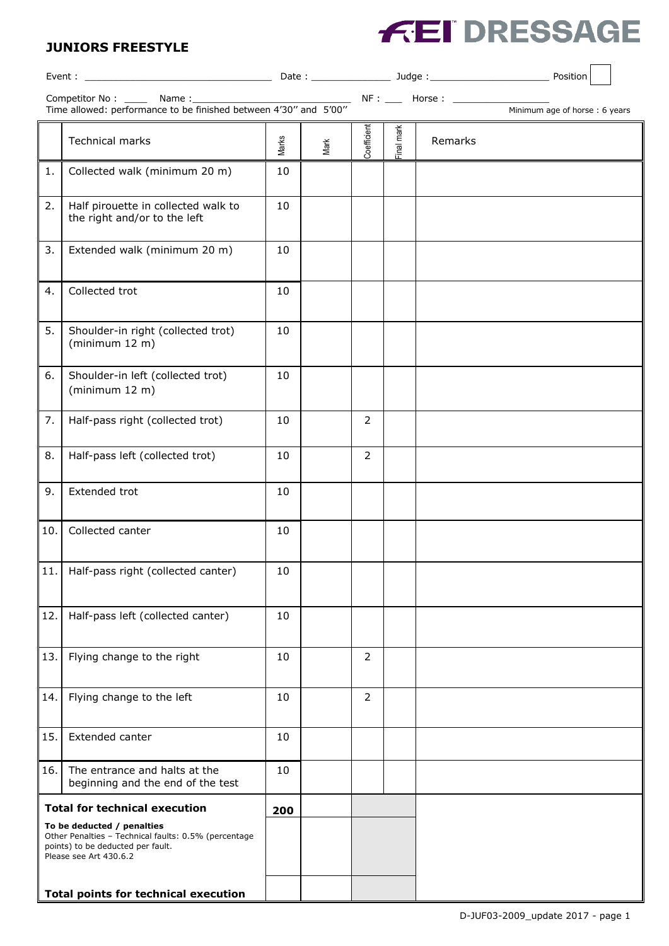## **JUNIORS FREESTYLE**



| Time allowed: performance to be finished between 4'30" and 5'00"                                                                                                                          |                                                                     |        |      |                |            |         | Minimum age of horse: 6 years |
|-------------------------------------------------------------------------------------------------------------------------------------------------------------------------------------------|---------------------------------------------------------------------|--------|------|----------------|------------|---------|-------------------------------|
|                                                                                                                                                                                           | Technical marks                                                     | Marks  | Mark | Coefficient    | Final mark | Remarks |                               |
| 1.                                                                                                                                                                                        | Collected walk (minimum 20 m)                                       | 10     |      |                |            |         |                               |
| 2.                                                                                                                                                                                        | Half pirouette in collected walk to<br>the right and/or to the left | 10     |      |                |            |         |                               |
| 3.                                                                                                                                                                                        | Extended walk (minimum 20 m)                                        | 10     |      |                |            |         |                               |
| 4.                                                                                                                                                                                        | Collected trot                                                      | 10     |      |                |            |         |                               |
| 5.                                                                                                                                                                                        | Shoulder-in right (collected trot)<br>(minimum 12 m)                | 10     |      |                |            |         |                               |
| 6.                                                                                                                                                                                        | Shoulder-in left (collected trot)<br>(minimum 12 m)                 | 10     |      |                |            |         |                               |
| 7.                                                                                                                                                                                        | Half-pass right (collected trot)                                    | 10     |      | $\overline{2}$ |            |         |                               |
| 8.                                                                                                                                                                                        | Half-pass left (collected trot)                                     | 10     |      | $\overline{2}$ |            |         |                               |
| 9.                                                                                                                                                                                        | Extended trot                                                       | 10     |      |                |            |         |                               |
| 10.                                                                                                                                                                                       | Collected canter                                                    | 10     |      |                |            |         |                               |
| 11.                                                                                                                                                                                       | Half-pass right (collected canter)                                  | $10\,$ |      |                |            |         |                               |
| 12.                                                                                                                                                                                       | Half-pass left (collected canter)                                   | 10     |      |                |            |         |                               |
| 13.                                                                                                                                                                                       | Flying change to the right                                          | 10     |      | $\overline{2}$ |            |         |                               |
| 14.                                                                                                                                                                                       | Flying change to the left                                           | 10     |      | $\overline{2}$ |            |         |                               |
| 15.                                                                                                                                                                                       | Extended canter                                                     | 10     |      |                |            |         |                               |
| 16.                                                                                                                                                                                       | The entrance and halts at the<br>beginning and the end of the test  | 10     |      |                |            |         |                               |
| <b>Total for technical execution</b><br>To be deducted / penalties<br>Other Penalties - Technical faults: 0.5% (percentage<br>points) to be deducted per fault.<br>Please see Art 430.6.2 |                                                                     | 200    |      |                |            |         |                               |
| <b>Total points for technical execution</b>                                                                                                                                               |                                                                     |        |      |                |            |         |                               |